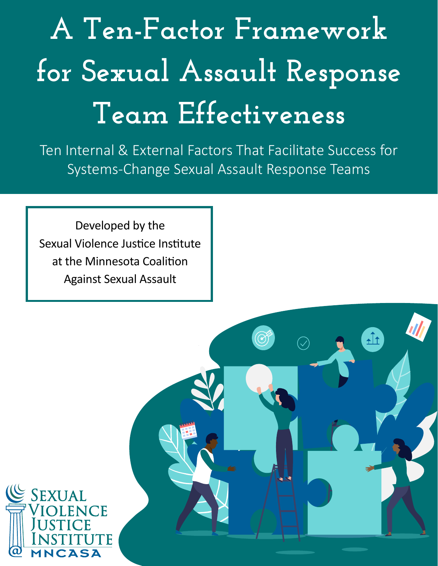## **A Ten-Factor Framework for Sexual Assault Response Team Effectiveness**

Ten Internal & External Factors That Facilitate Success for Systems-Change Sexual Assault Response Teams

Developed by the Sexual Violence Justice Institute at the Minnesota Coalition Against Sexual Assault

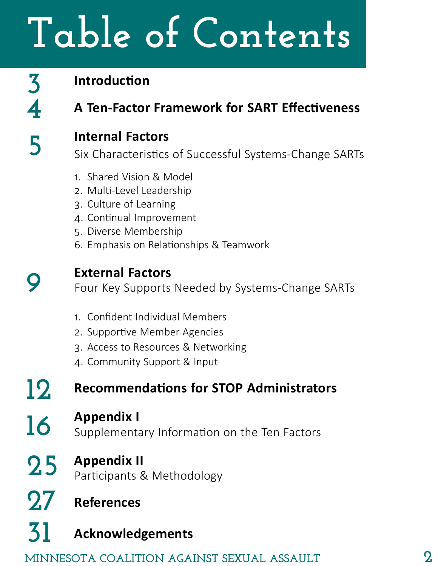# **Table of Contents**

### **3 4 5**

#### **Introduction**

**A Ten-Factor Framework for SART Effectiveness**

#### **Internal Factors**

Six Characteristics of Successful Systems-Change SARTs

- 1. Shared Vision & Model
- 2. Multi-Level Leadership
- 3. Culture of Learning
- 4. Continual Improvement
- 5. Diverse Membership
- 6. Emphasis on Relationships & Teamwork



**16**

**27**

**31**

#### **External Factors**

Four Key Supports Needed by Systems-Change SARTs

- 1. Confident Individual Members
- 2. Supportive Member Agencies
- 3. Access to Resources & Networking
- 4. Community Support & Input

#### **Recommendations for STOP Administrators 12**

#### **Appendix I**

Supplementary Information on the Ten Factors

#### **Appendix II 25**

Participants & Methodology

**References**

#### **Acknowledgements**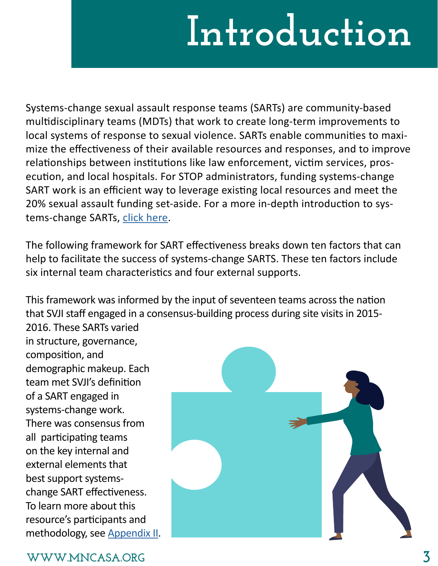## **Introduction**

Systems-change sexual assault response teams (SARTs) are community-based multidisciplinary teams (MDTs) that work to create long-term improvements to local systems of response to sexual violence. SARTs enable communities to maximize the effectiveness of their available resources and responses, and to improve relationships between institutions like law enforcement, victim services, prosecution, and local hospitals. For STOP administrators, funding systems-change SART work is an efficient way to leverage existing local resources and meet the 20% sexual assault funding set-aside. For a more in-depth introduction to systems-change SARTs, [click here](https://www.mncasa.org/wp-content/uploads/2019/11/SARTS-and-Systems-Change-Handout.pdf).

The following framework for SART effectiveness breaks down ten factors that can help to facilitate the success of systems-change SARTS. These ten factors include six internal team characteristics and four external supports.

This framework was informed by the input of seventeen teams across the nation that SVJI staff engaged in a consensus-building process during site visits in 2015-

2016. These SARTs varied in structure, governance, composition, and demographic makeup. Each team met SVJI's definition of a SART engaged in systems-change work. There was consensus from all participating teams on the key internal and external elements that best support systemschange SART effectiveness. To learn more about this resource's participants and methodology, see [Appendix II](#page-24-0).



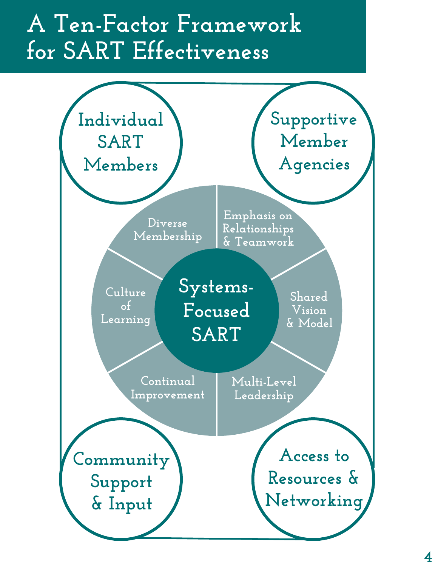#### **A Ten-Factor Framework for SART Effectiveness**

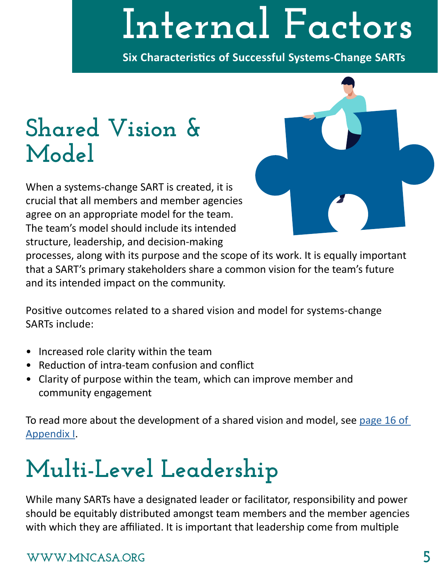## **Internal Factors**

**Six Characteristics of Successful Systems-Change SARTs**

### **Shared Vision & Model**

When a systems-change SART is created, it is crucial that all members and member agencies agree on an appropriate model for the team. The team's model should include its intended structure, leadership, and decision-making



processes, along with its purpose and the scope of its work. It is equally important that a SART's primary stakeholders share a common vision for the team's future and its intended impact on the community.

Positive outcomes related to a shared vision and model for systems-change SARTs include:

- Increased role clarity within the team
- Reduction of intra-team confusion and conflict
- Clarity of purpose within the team, which can improve member and community engagement

To read more about the development of a shared vision and model, see page 16 of [Appendix I](#page-15-0).

### **Multi-Level Leadership**

While many SARTs have a designated leader or facilitator, responsibility and power should be equitably distributed amongst team members and the member agencies with which they are affiliated. It is important that leadership come from multiple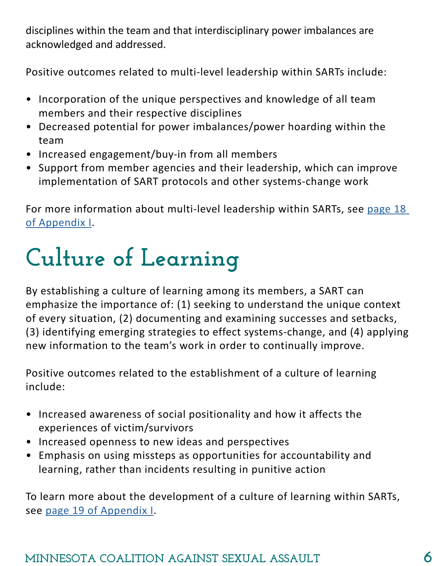disciplines within the team and that interdisciplinary power imbalances are acknowledged and addressed.

Positive outcomes related to multi-level leadership within SARTs include:

- Incorporation of the unique perspectives and knowledge of all team members and their respective disciplines
- Decreased potential for power imbalances/power hoarding within the team
- Increased engagement/buy-in from all members
- Support from member agencies and their leadership, which can improve implementation of SART protocols and other systems-change work

For more information about multi-level leadership within SARTs, see page 18 [of Appendix I](#page-17-0).

## **Culture of Learning**

By establishing a culture of learning among its members, a SART can emphasize the importance of: (1) seeking to understand the unique context of every situation, (2) documenting and examining successes and setbacks, (3) identifying emerging strategies to effect systems-change, and (4) applying new information to the team's work in order to continually improve.

Positive outcomes related to the establishment of a culture of learning include:

- Increased awareness of social positionality and how it affects the experiences of victim/survivors
- Increased openness to new ideas and perspectives
- Emphasis on using missteps as opportunities for accountability and learning, rather than incidents resulting in punitive action

To learn more about the development of a culture of learning within SARTs, see [page 19 of Appendix I](#page-18-0).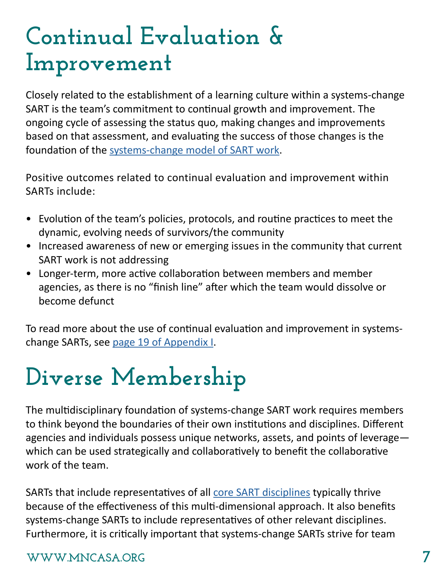#### **Continual Evaluation & Improvement**

Closely related to the establishment of a learning culture within a systems-change SART is the team's commitment to continual growth and improvement. The ongoing cycle of assessing the status quo, making changes and improvements based on that assessment, and evaluating the success of those changes is the foundation of the [systems-change model of SART work](https://www.mncasa.org/wp-content/uploads/2019/11/SARTS-and-Systems-Change-Handout.pdf).

Positive outcomes related to continual evaluation and improvement within SARTs include:

- Evolution of the team's policies, protocols, and routine practices to meet the dynamic, evolving needs of survivors/the community
- Increased awareness of new or emerging issues in the community that current SART work is not addressing
- Longer-term, more active collaboration between members and member agencies, as there is no "finish line" after which the team would dissolve or become defunct

To read more about the use of continual evaluation and improvement in systemschange SARTs, see [page 19 of Appendix I](#page-18-0).

### **Diverse Membership**

The multidisciplinary foundation of systems-change SART work requires members to think beyond the boundaries of their own institutions and disciplines. Different agencies and individuals possess unique networks, assets, and points of leverage which can be used strategically and collaboratively to benefit the collaborative work of the team.

SARTs that include representatives of all [core SART disciplines](https://www.mncasa.org/wp-content/uploads/2019/11/Sexual-Assault-Response-Team-Starter-Kit.pdf#page=12) typically thrive because of the effectiveness of this multi-dimensional approach. It also benefits systems-change SARTs to include representatives of other relevant disciplines. Furthermore, it is critically important that systems-change SARTs strive for team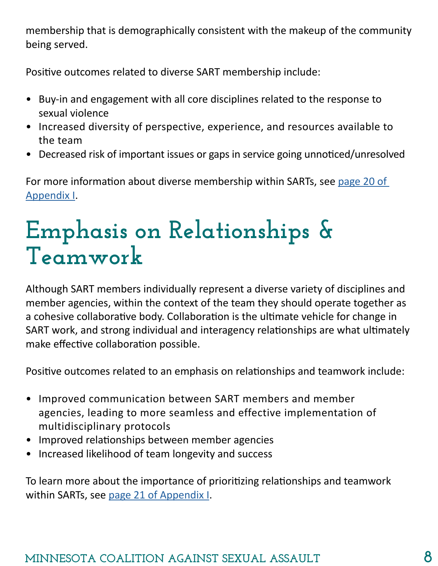membership that is demographically consistent with the makeup of the community being served.

Positive outcomes related to diverse SART membership include:

- Buy-in and engagement with all core disciplines related to the response to sexual violence
- Increased diversity of perspective, experience, and resources available to the team
- Decreased risk of important issues or gaps in service going unnoticed/unresolved

For more information about diverse membership within SARTs, see page 20 of [Appendix I](#page-19-0).

### **Emphasis on Relationships & Teamwork**

Although SART members individually represent a diverse variety of disciplines and member agencies, within the context of the team they should operate together as a cohesive collaborative body. Collaboration is the ultimate vehicle for change in SART work, and strong individual and interagency relationships are what ultimately make effective collaboration possible.

Positive outcomes related to an emphasis on relationships and teamwork include:

- Improved communication between SART members and member agencies, leading to more seamless and effective implementation of multidisciplinary protocols
- Improved relationships between member agencies
- Increased likelihood of team longevity and success

To learn more about the importance of prioritizing relationships and teamwork within SARTs, see [page 21 of Appendix I](#page-20-0).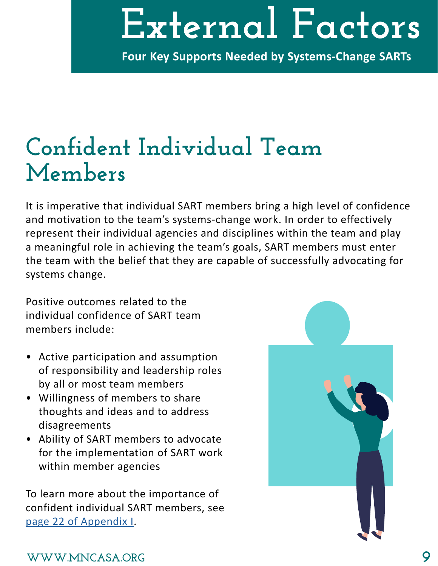## **External Factors**

**Four Key Supports Needed by Systems-Change SARTs**

#### **Confident Individual Team Members**

It is imperative that individual SART members bring a high level of confidence and motivation to the team's systems-change work. In order to effectively represent their individual agencies and disciplines within the team and play a meaningful role in achieving the team's goals, SART members must enter the team with the belief that they are capable of successfully advocating for systems change.

Positive outcomes related to the individual confidence of SART team members include:

- Active participation and assumption of responsibility and leadership roles by all or most team members
- Willingness of members to share thoughts and ideas and to address disagreements
- Ability of SART members to advocate for the implementation of SART work within member agencies

To learn more about the importance of confident individual SART members, see [page 22 of Appendix I](#page-21-0).

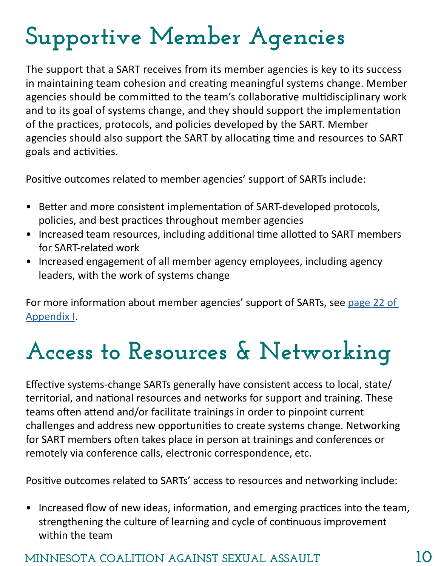### **Supportive Member Agencies**

The support that a SART receives from its member agencies is key to its success in maintaining team cohesion and creating meaningful systems change. Member agencies should be committed to the team's collaborative multidisciplinary work and to its goal of systems change, and they should support the implementation of the practices, protocols, and policies developed by the SART. Member agencies should also support the SART by allocating time and resources to SART goals and activities.

Positive outcomes related to member agencies' support of SARTs include:

- Better and more consistent implementation of SART-developed protocols, policies, and best practices throughout member agencies
- Increased team resources, including additional time allotted to SART members for SART-related work
- Increased engagement of all member agency employees, including agency leaders, with the work of systems change

For more information about member agencies' support of SARTs, see [page 22 of](#page-21-0)  [Appendix I](#page-21-0).

### **Access to Resources & Networking**

Effective systems-change SARTs generally have consistent access to local, state/ territorial, and national resources and networks for support and training. These teams often attend and/or facilitate trainings in order to pinpoint current challenges and address new opportunities to create systems change. Networking for SART members often takes place in person at trainings and conferences or remotely via conference calls, electronic correspondence, etc.

Positive outcomes related to SARTs' access to resources and networking include:

• Increased flow of new ideas, information, and emerging practices into the team, strengthening the culture of learning and cycle of continuous improvement within the team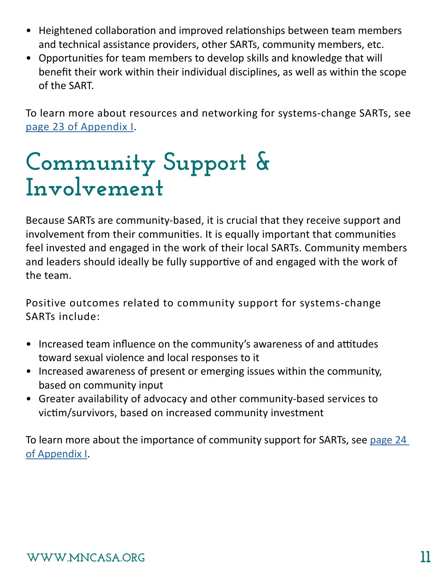- Heightened collaboration and improved relationships between team members and technical assistance providers, other SARTs, community members, etc.
- Opportunities for team members to develop skills and knowledge that will benefit their work within their individual disciplines, as well as within the scope of the SART.

To learn more about resources and networking for systems-change SARTs, see [page 23 of Appendix I](#page-22-0).

#### **Community Support & Involvement**

Because SARTs are community-based, it is crucial that they receive support and involvement from their communities. It is equally important that communities feel invested and engaged in the work of their local SARTs. Community members and leaders should ideally be fully supportive of and engaged with the work of the team.

Positive outcomes related to community support for systems-change SARTs include:

- Increased team influence on the community's awareness of and attitudes toward sexual violence and local responses to it
- Increased awareness of present or emerging issues within the community, based on community input
- Greater availability of advocacy and other community-based services to victim/survivors, based on increased community investment

To learn more about the importance of community support for SARTs, see page 24 [of Appendix I](#page-23-0).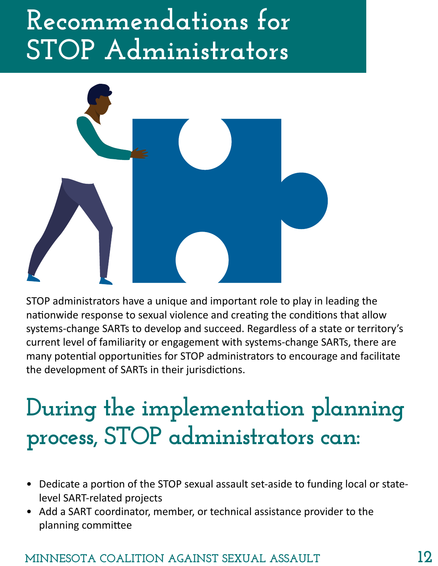### **Recommendations for STOP Administrators**



STOP administrators have a unique and important role to play in leading the nationwide response to sexual violence and creating the conditions that allow systems-change SARTs to develop and succeed. Regardless of a state or territory's current level of familiarity or engagement with systems-change SARTs, there are many potential opportunities for STOP administrators to encourage and facilitate the development of SARTs in their jurisdictions.

### **During the implementation planning process, STOP administrators can:**

- Dedicate a portion of the STOP sexual assault set-aside to funding local or statelevel SART-related projects
- Add a SART coordinator, member, or technical assistance provider to the planning committee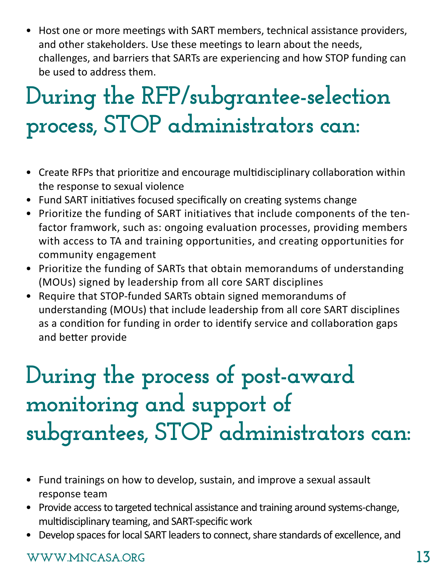• Host one or more meetings with SART members, technical assistance providers, and other stakeholders. Use these meetings to learn about the needs, challenges, and barriers that SARTs are experiencing and how STOP funding can be used to address them.

### **During the RFP/subgrantee-selection process, STOP administrators can:**

- Create RFPs that prioritize and encourage multidisciplinary collaboration within the response to sexual violence
- Fund SART initiatives focused specifically on creating systems change
- Prioritize the funding of SART initiatives that include components of the tenfactor framwork, such as: ongoing evaluation processes, providing members with access to TA and training opportunities, and creating opportunities for community engagement
- Prioritize the funding of SARTs that obtain memorandums of understanding (MOUs) signed by leadership from all core SART disciplines
- Require that STOP-funded SARTs obtain signed memorandums of understanding (MOUs) that include leadership from all core SART disciplines as a condition for funding in order to identify service and collaboration gaps and better provide

### **During the process of post-award monitoring and support of subgrantees, STOP administrators can:**

- Fund trainings on how to develop, sustain, and improve a sexual assault response team
- Provide access to targeted technical assistance and training around systems-change, multidisciplinary teaming, and SART-specific work
- Develop spaces for local SART leaders to connect, share standards of excellence, and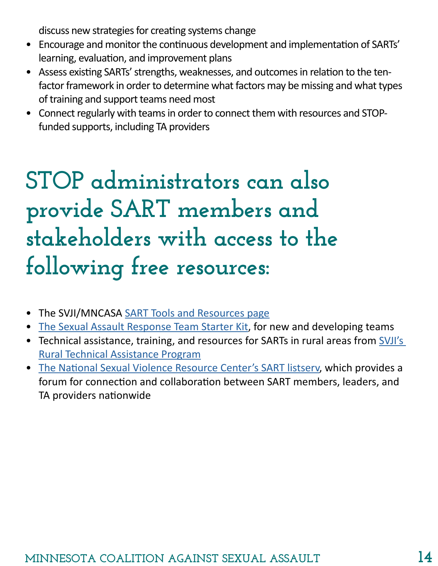discuss new strategies for creating systems change

- Encourage and monitor the continuous development and implementation of SARTs' learning, evaluation, and improvement plans
- Assess existing SARTs' strengths, weaknesses, and outcomes in relation to the tenfactor framework in order to determine what factors may be missing and what types of training and support teams need most
- Connect regularly with teams in order to connect them with resources and STOPfunded supports, including TA providers

### **STOP administrators can also provide SART members and stakeholders with access to the following free resources:**

- The SVJI/MNCASA [SART Tools and Resources page](https://www.mncasa.org/sexual-violence-justice-institute/sarts-tools-resources/)
- [The Sexual Assault Response Team Starter Kit](https://www.mncasa.org/wp-content/uploads/2019/11/Sexual-Assault-Response-Team-Starter-Kit.pdf), for new and developing teams
- Technical assistance, training, and resources for SARTs in rural areas from SVJI's [Rural Technical Assistance Program](mailto:rural%40mncasa.org?subject=)
- [The National Sexual Violence Resource Center's SART listserv](https://www.nsvrc.org/form/sart-group-application), which provides a forum for connection and collaboration between SART members, leaders, and TA providers nationwide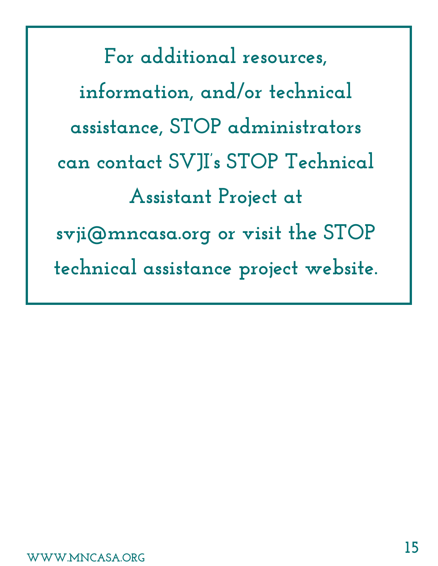**For additional resources, information, and/or technical assistance, STOP administrators can contact SVJI's STOP Technical Assistant Project at svji@mncasa.org or visit the [STOP](https://www.mncasa.org/sexual-violence-justice-institute/stop-and-sasp-administrators/)  [technical assistance project website](https://www.mncasa.org/sexual-violence-justice-institute/stop-and-sasp-administrators/).**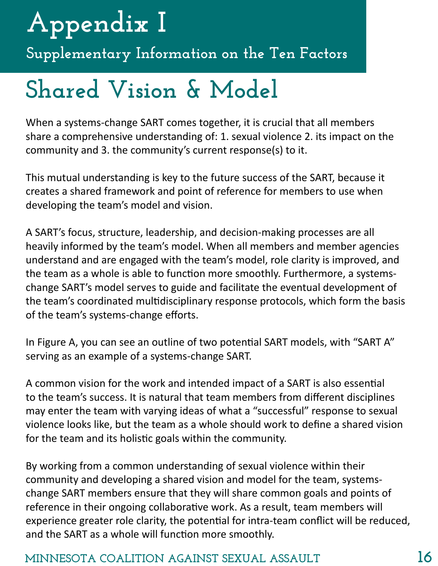## <span id="page-15-0"></span>**Appendix I**

**Supplementary Information on the Ten Factors**

### **Shared Vision & Model**

When a systems-change SART comes together, it is crucial that all members share a comprehensive understanding of: 1. sexual violence 2. its impact on the community and 3. the community's current response(s) to it.

This mutual understanding is key to the future success of the SART, because it creates a shared framework and point of reference for members to use when developing the team's model and vision.

A SART's focus, structure, leadership, and decision-making processes are all heavily informed by the team's model. When all members and member agencies understand and are engaged with the team's model, role clarity is improved, and the team as a whole is able to function more smoothly. Furthermore, a systemschange SART's model serves to guide and facilitate the eventual development of the team's coordinated multidisciplinary response protocols, which form the basis of the team's systems-change efforts.

In Figure A, you can see an outline of two potential SART models, with "SART A" serving as an example of a systems-change SART.

A common vision for the work and intended impact of a SART is also essential to the team's success. It is natural that team members from different disciplines may enter the team with varying ideas of what a "successful" response to sexual violence looks like, but the team as a whole should work to define a shared vision for the team and its holistic goals within the community.

By working from a common understanding of sexual violence within their community and developing a shared vision and model for the team, systemschange SART members ensure that they will share common goals and points of reference in their ongoing collaborative work. As a result, team members will experience greater role clarity, the potential for intra-team conflict will be reduced, and the SART as a whole will function more smoothly.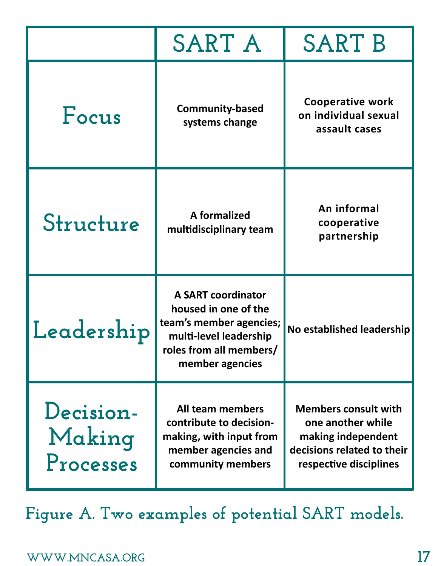|                                  | <b>SART A</b>                                                                                                                                        | <b>SART B</b>                                                                                                                  |
|----------------------------------|------------------------------------------------------------------------------------------------------------------------------------------------------|--------------------------------------------------------------------------------------------------------------------------------|
| Focus                            | <b>Community-based</b><br>systems change                                                                                                             | <b>Cooperative work</b><br>on individual sexual<br>assault cases                                                               |
| Structure                        | A formalized<br>multidisciplinary team                                                                                                               | An informal<br>cooperative<br>partnership                                                                                      |
| Leadership                       | <b>A SART coordinator</b><br>housed in one of the<br>team's member agencies;<br>multi-level leadership<br>roles from all members/<br>member agencies | No established leadership                                                                                                      |
| Decision-<br>Making<br>Processes | All team members<br>contribute to decision-<br>making, with input from<br>member agencies and<br>community members                                   | <b>Members consult with</b><br>one another while<br>making independent<br>decisions related to their<br>respective disciplines |

**Figure A. Two examples of potential SART models.**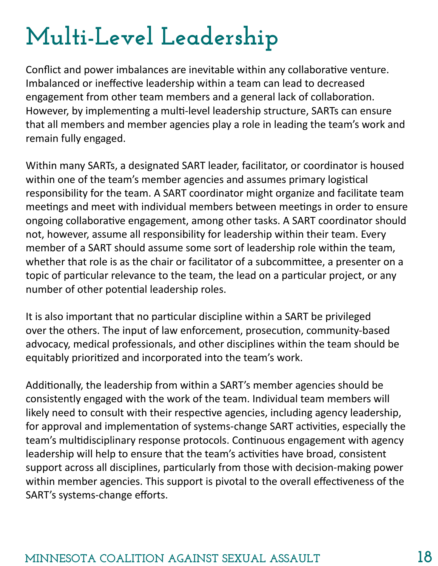### <span id="page-17-0"></span>**Multi-Level Leadership**

Conflict and power imbalances are inevitable within any collaborative venture. Imbalanced or ineffective leadership within a team can lead to decreased engagement from other team members and a general lack of collaboration. However, by implementing a multi-level leadership structure, SARTs can ensure that all members and member agencies play a role in leading the team's work and remain fully engaged.

Within many SARTs, a designated SART leader, facilitator, or coordinator is housed within one of the team's member agencies and assumes primary logistical responsibility for the team. A SART coordinator might organize and facilitate team meetings and meet with individual members between meetings in order to ensure ongoing collaborative engagement, among other tasks. A SART coordinator should not, however, assume all responsibility for leadership within their team. Every member of a SART should assume some sort of leadership role within the team, whether that role is as the chair or facilitator of a subcommittee, a presenter on a topic of particular relevance to the team, the lead on a particular project, or any number of other potential leadership roles.

It is also important that no particular discipline within a SART be privileged over the others. The input of law enforcement, prosecution, community-based advocacy, medical professionals, and other disciplines within the team should be equitably prioritized and incorporated into the team's work.

Additionally, the leadership from within a SART's member agencies should be consistently engaged with the work of the team. Individual team members will likely need to consult with their respective agencies, including agency leadership, for approval and implementation of systems-change SART activities, especially the team's multidisciplinary response protocols. Continuous engagement with agency leadership will help to ensure that the team's activities have broad, consistent support across all disciplines, particularly from those with decision-making power within member agencies. This support is pivotal to the overall effectiveness of the SART's systems-change efforts.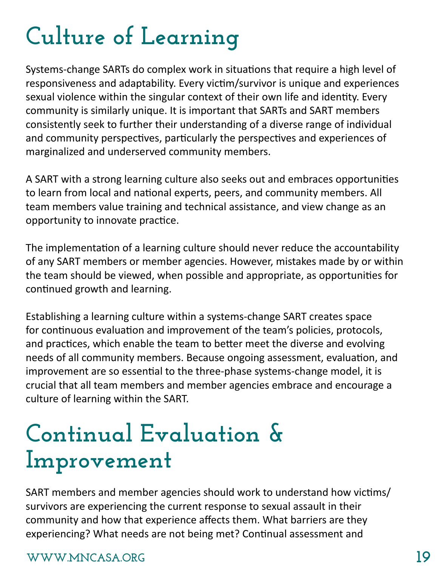### <span id="page-18-0"></span>**Culture of Learning**

Systems-change SARTs do complex work in situations that require a high level of responsiveness and adaptability. Every victim/survivor is unique and experiences sexual violence within the singular context of their own life and identity. Every community is similarly unique. It is important that SARTs and SART members consistently seek to further their understanding of a diverse range of individual and community perspectives, particularly the perspectives and experiences of marginalized and underserved community members.

A SART with a strong learning culture also seeks out and embraces opportunities to learn from local and national experts, peers, and community members. All team members value training and technical assistance, and view change as an opportunity to innovate practice.

The implementation of a learning culture should never reduce the accountability of any SART members or member agencies. However, mistakes made by or within the team should be viewed, when possible and appropriate, as opportunities for continued growth and learning.

Establishing a learning culture within a systems-change SART creates space for continuous evaluation and improvement of the team's policies, protocols, and practices, which enable the team to better meet the diverse and evolving needs of all community members. Because ongoing assessment, evaluation, and improvement are so essential to the three-phase systems-change model, it is crucial that all team members and member agencies embrace and encourage a culture of learning within the SART.

### **Continual Evaluation & Improvement**

SART members and member agencies should work to understand how victims/ survivors are experiencing the current response to sexual assault in their community and how that experience affects them. What barriers are they experiencing? What needs are not being met? Continual assessment and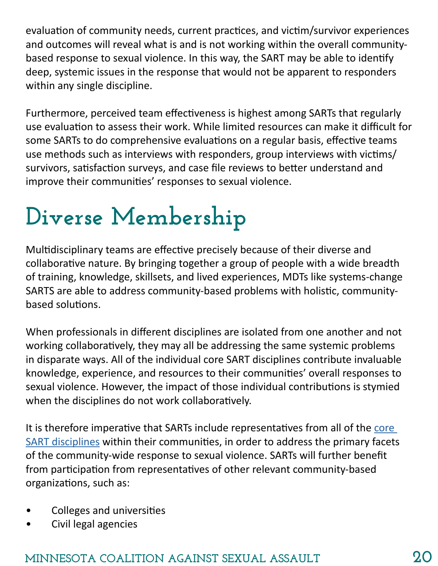<span id="page-19-0"></span>evaluation of community needs, current practices, and victim/survivor experiences and outcomes will reveal what is and is not working within the overall communitybased response to sexual violence. In this way, the SART may be able to identify deep, systemic issues in the response that would not be apparent to responders within any single discipline.

Furthermore, perceived team effectiveness is highest among SARTs that regularly use evaluation to assess their work. While limited resources can make it difficult for some SARTs to do comprehensive evaluations on a regular basis, effective teams use methods such as interviews with responders, group interviews with victims/ survivors, satisfaction surveys, and case file reviews to better understand and improve their communities' responses to sexual violence.

### **Diverse Membership**

Multidisciplinary teams are effective precisely because of their diverse and collaborative nature. By bringing together a group of people with a wide breadth of training, knowledge, skillsets, and lived experiences, MDTs like systems-change SARTS are able to address community-based problems with holistic, communitybased solutions.

When professionals in different disciplines are isolated from one another and not working collaboratively, they may all be addressing the same systemic problems in disparate ways. All of the individual core SART disciplines contribute invaluable knowledge, experience, and resources to their communities' overall responses to sexual violence. However, the impact of those individual contributions is stymied when the disciplines do not work collaboratively.

It is therefore imperative that SARTs include representatives from all of the [core](https://www.mncasa.org/wp-content/uploads/2019/11/Sexual-Assault-Response-Team-Starter-Kit.pdf#page=12)  [SART disciplines](https://www.mncasa.org/wp-content/uploads/2019/11/Sexual-Assault-Response-Team-Starter-Kit.pdf#page=12) within their communities, in order to address the primary facets of the community-wide response to sexual violence. SARTs will further benefit from participation from representatives of other relevant community-based organizations, such as:

- Colleges and universities
- Civil legal agencies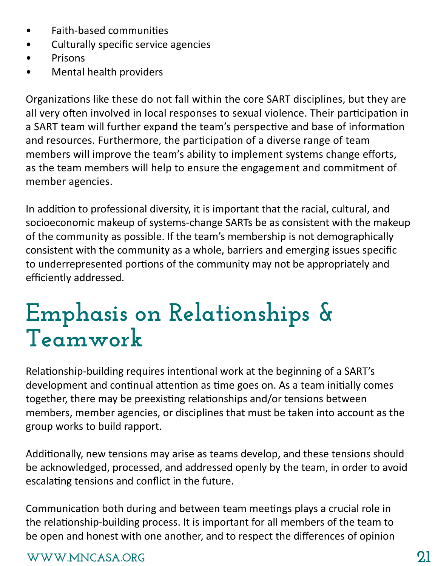- <span id="page-20-0"></span>• Faith-based communities
- Culturally specific service agencies
- Prisons
- Mental health providers

Organizations like these do not fall within the core SART disciplines, but they are all very often involved in local responses to sexual violence. Their participation in a SART team will further expand the team's perspective and base of information and resources. Furthermore, the participation of a diverse range of team members will improve the team's ability to implement systems change efforts, as the team members will help to ensure the engagement and commitment of member agencies.

In addition to professional diversity, it is important that the racial, cultural, and socioeconomic makeup of systems-change SARTs be as consistent with the makeup of the community as possible. If the team's membership is not demographically consistent with the community as a whole, barriers and emerging issues specific to underrepresented portions of the community may not be appropriately and efficiently addressed.

#### **Emphasis on Relationships & Teamwork**

Relationship-building requires intentional work at the beginning of a SART's development and continual attention as time goes on. As a team initially comes together, there may be preexisting relationships and/or tensions between members, member agencies, or disciplines that must be taken into account as the group works to build rapport.

Additionally, new tensions may arise as teams develop, and these tensions should be acknowledged, processed, and addressed openly by the team, in order to avoid escalating tensions and conflict in the future.

Communication both during and between team meetings plays a crucial role in the relationship-building process. It is important for all members of the team to be open and honest with one another, and to respect the differences of opinion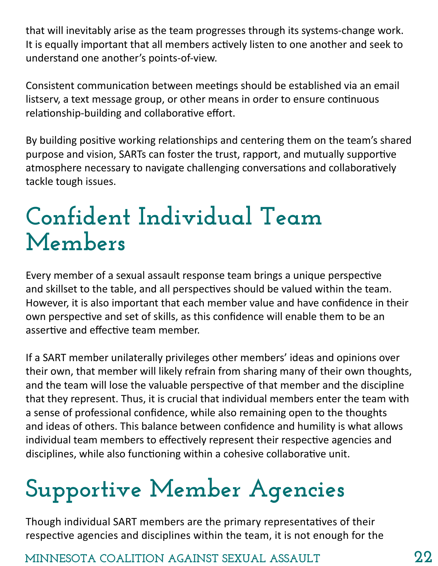<span id="page-21-0"></span>that will inevitably arise as the team progresses through its systems-change work. It is equally important that all members actively listen to one another and seek to understand one another's points-of-view.

Consistent communication between meetings should be established via an email listserv, a text message group, or other means in order to ensure continuous relationship-building and collaborative effort.

By building positive working relationships and centering them on the team's shared purpose and vision, SARTs can foster the trust, rapport, and mutually supportive atmosphere necessary to navigate challenging conversations and collaboratively tackle tough issues.

#### **Confident Individual Team Members**

Every member of a sexual assault response team brings a unique perspective and skillset to the table, and all perspectives should be valued within the team. However, it is also important that each member value and have confidence in their own perspective and set of skills, as this confidence will enable them to be an assertive and effective team member.

If a SART member unilaterally privileges other members' ideas and opinions over their own, that member will likely refrain from sharing many of their own thoughts, and the team will lose the valuable perspective of that member and the discipline that they represent. Thus, it is crucial that individual members enter the team with a sense of professional confidence, while also remaining open to the thoughts and ideas of others. This balance between confidence and humility is what allows individual team members to effectively represent their respective agencies and disciplines, while also functioning within a cohesive collaborative unit.

### **Supportive Member Agencies**

Though individual SART members are the primary representatives of their respective agencies and disciplines within the team, it is not enough for the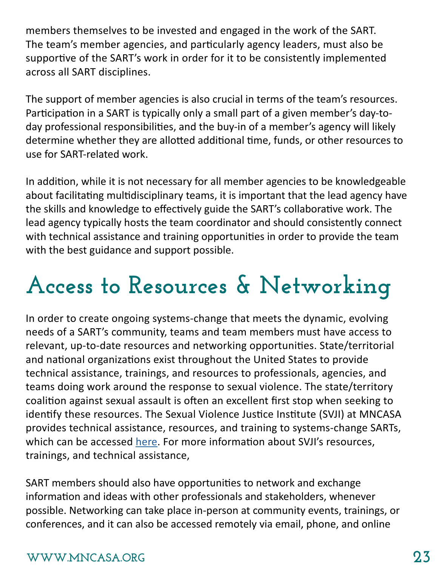<span id="page-22-0"></span>members themselves to be invested and engaged in the work of the SART. The team's member agencies, and particularly agency leaders, must also be supportive of the SART's work in order for it to be consistently implemented across all SART disciplines.

The support of member agencies is also crucial in terms of the team's resources. Participation in a SART is typically only a small part of a given member's day-today professional responsibilities, and the buy-in of a member's agency will likely determine whether they are allotted additional time, funds, or other resources to use for SART-related work.

In addition, while it is not necessary for all member agencies to be knowledgeable about facilitating multidisciplinary teams, it is important that the lead agency have the skills and knowledge to effectively guide the SART's collaborative work. The lead agency typically hosts the team coordinator and should consistently connect with technical assistance and training opportunities in order to provide the team with the best guidance and support possible.

### **Access to Resources & Networking**

In order to create ongoing systems-change that meets the dynamic, evolving needs of a SART's community, teams and team members must have access to relevant, up-to-date resources and networking opportunities. State/territorial and national organizations exist throughout the United States to provide technical assistance, trainings, and resources to professionals, agencies, and teams doing work around the response to sexual violence. The state/territory coalition against sexual assault is often an excellent first stop when seeking to identify these resources. The Sexual Violence Justice Institute (SVJI) at MNCASA provides technical assistance, resources, and training to systems-change SARTs, which can be accessed [here](https://www.mncasa.org/sexual-violence-justice-institute/sarts-tools-resources/). For more information about SVJI's resources, trainings, and technical assistance,

SART members should also have opportunities to network and exchange information and ideas with other professionals and stakeholders, whenever possible. Networking can take place in-person at community events, trainings, or conferences, and it can also be accessed remotely via email, phone, and online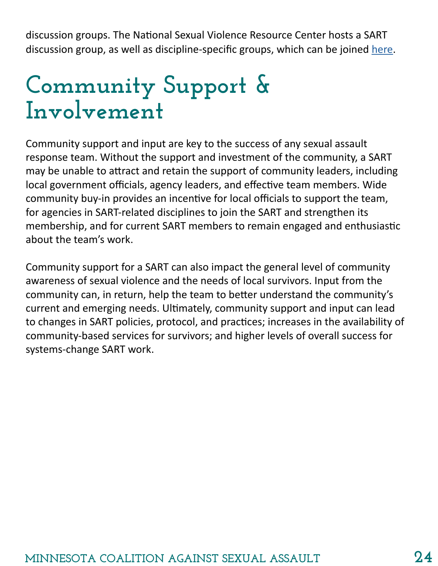<span id="page-23-0"></span>discussion groups. The National Sexual Violence Resource Center hosts a SART discussion group, as well as discipline-specific groups, which can be joined [here](https://www.nsvrc.org/form/sart-group-application).

### **Community Support & Involvement**

Community support and input are key to the success of any sexual assault response team. Without the support and investment of the community, a SART may be unable to attract and retain the support of community leaders, including local government officials, agency leaders, and effective team members. Wide community buy-in provides an incentive for local officials to support the team, for agencies in SART-related disciplines to join the SART and strengthen its membership, and for current SART members to remain engaged and enthusiastic about the team's work.

Community support for a SART can also impact the general level of community awareness of sexual violence and the needs of local survivors. Input from the community can, in return, help the team to better understand the community's current and emerging needs. Ultimately, community support and input can lead to changes in SART policies, protocol, and practices; increases in the availability of community-based services for survivors; and higher levels of overall success for systems-change SART work.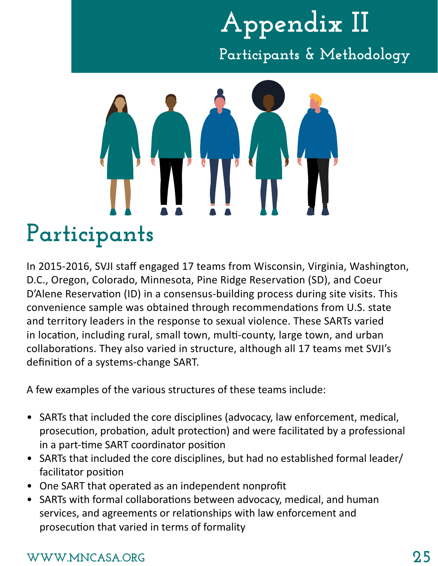### **Appendix II Participants & Methodology**

<span id="page-24-0"></span>

**Participants** In 2015-2016, SVJI staff engaged 17 teams from Wisconsin, Virginia, Washington, D.C., Oregon, Colorado, Minnesota, Pine Ridge Reservation (SD), and Coeur D'Alene Reservation (ID) in a consensus-building process during site visits. This convenience sample was obtained through recommendations from U.S. state and territory leaders in the response to sexual violence. These SARTs varied in location, including rural, small town, multi-county, large town, and urban collaborations. They also varied in structure, although all 17 teams met SVJI's definition of a systems-change SART.

A few examples of the various structures of these teams include:

- SARTs that included the core disciplines (advocacy, law enforcement, medical, prosecution, probation, adult protection) and were facilitated by a professional in a part-time SART coordinator position
- SARTs that included the core disciplines, but had no established formal leader/ facilitator position
- One SART that operated as an independent nonprofit
- SARTs with formal collaborations between advocacy, medical, and human services, and agreements or relationships with law enforcement and prosecution that varied in terms of formality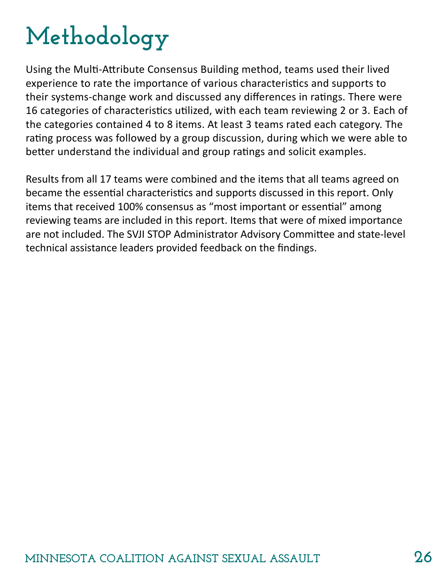### **Methodology**

Using the Multi-Attribute Consensus Building method, teams used their lived experience to rate the importance of various characteristics and supports to their systems-change work and discussed any differences in ratings. There were 16 categories of characteristics utilized, with each team reviewing 2 or 3. Each of the categories contained 4 to 8 items. At least 3 teams rated each category. The rating process was followed by a group discussion, during which we were able to better understand the individual and group ratings and solicit examples.

Results from all 17 teams were combined and the items that all teams agreed on became the essential characteristics and supports discussed in this report. Only items that received 100% consensus as "most important or essential" among reviewing teams are included in this report. Items that were of mixed importance are not included. The SVJI STOP Administrator Advisory Committee and state-level technical assistance leaders provided feedback on the findings.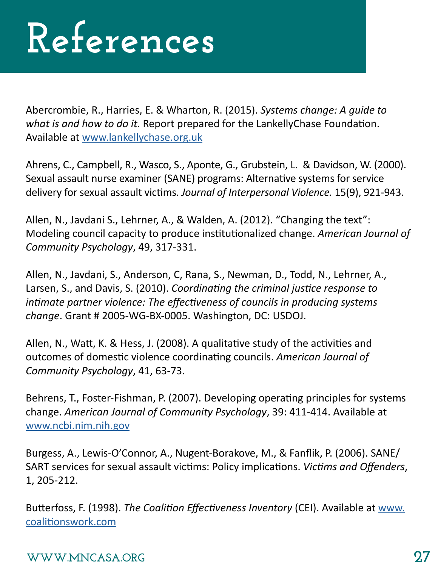## **References**

Abercrombie, R., Harries, E. & Wharton, R. (2015). *Systems change: A guide to what is and how to do it.* Report prepared for the LankellyChase Foundation. Available at [www.lankellychase.org.uk](http://www.lankellychase.org.uk)

Ahrens, C., Campbell, R., Wasco, S., Aponte, G., Grubstein, L. & Davidson, W. (2000). Sexual assault nurse examiner (SANE) programs: Alternative systems for service delivery for sexual assault victims. *Journal of Interpersonal Violence.* 15(9), 921-943.

Allen, N., Javdani S., Lehrner, A., & Walden, A. (2012). "Changing the text": Modeling council capacity to produce institutionalized change. *American Journal of Community Psychology*, 49, 317-331.

Allen, N., Javdani, S., Anderson, C, Rana, S., Newman, D., Todd, N., Lehrner, A., Larsen, S., and Davis, S. (2010). *Coordinating the criminal justice response to intimate partner violence: The effectiveness of councils in producing systems change*. Grant # 2005-WG-BX-0005. Washington, DC: USDOJ.

Allen, N., Watt, K. & Hess, J. (2008). A qualitative study of the activities and outcomes of domestic violence coordinating councils. *American Journal of Community Psychology*, 41, 63-73.

Behrens, T., Foster-Fishman, P. (2007). Developing operating principles for systems change. *American Journal of Community Psychology*, 39: 411-414. Available at [www.ncbi.nim.nih.gov](http://www.ncbi.nim.nih.gov )

Burgess, A., Lewis-O'Connor, A., Nugent-Borakove, M., & Fanflik, P. (2006). SANE/ SART services for sexual assault victims: Policy implications. *Victims and Offenders*, 1, 205-212.

Butterfoss, F. (1998). *The Coalition Effectiveness Inventory* (CEI). Available at [www.](http://www.coalitionswork.com   ) [coalitionswork.com](http://www.coalitionswork.com   )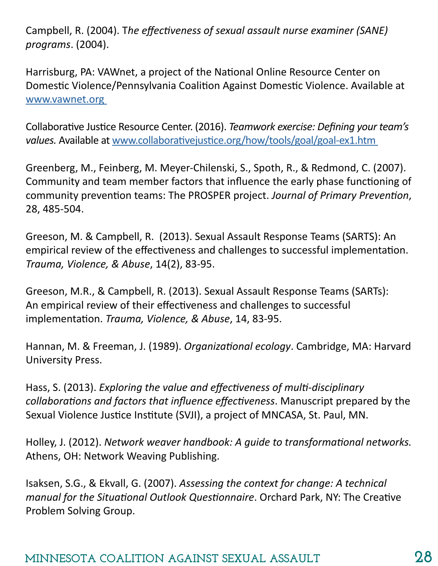Campbell, R. (2004). T*he effectiveness of sexual assault nurse examiner (SANE) programs*. (2004).

Harrisburg, PA: VAWnet, a project of the National Online Resource Center on Domestic Violence/Pennsylvania Coalition Against Domestic Violence. Available at [www.vawnet.org](http://www.vawnet.org ) 

Collaborative Justice Resource Center. (2016). *Teamwork exercise: Defining your team's values.* Available at [www.collaborativejustice.org/how/tools/goal/goal-ex1.htm](http://www.collaborativejustice.org/how/tools/goal/goal-ex1.htm ) 

Greenberg, M., Feinberg, M. Meyer-Chilenski, S., Spoth, R., & Redmond, C. (2007). Community and team member factors that influence the early phase functioning of community prevention teams: The PROSPER project. *Journal of Primary Prevention*, 28, 485-504.

Greeson, M. & Campbell, R. (2013). Sexual Assault Response Teams (SARTS): An empirical review of the effectiveness and challenges to successful implementation. *Trauma, Violence, & Abuse*, 14(2), 83-95.

Greeson, M.R., & Campbell, R. (2013). Sexual Assault Response Teams (SARTs): An empirical review of their effectiveness and challenges to successful implementation. *Trauma, Violence, & Abuse*, 14, 83-95.

Hannan, M. & Freeman, J. (1989). *Organizational ecology*. Cambridge, MA: Harvard University Press.

Hass, S. (2013). *Exploring the value and effectiveness of multi-disciplinary collaborations and factors that influence effectiveness*. Manuscript prepared by the Sexual Violence Justice Institute (SVJI), a project of MNCASA, St. Paul, MN.

Holley, J. (2012). *Network weaver handbook: A guide to transformational networks.*  Athens, OH: Network Weaving Publishing.

Isaksen, S.G., & Ekvall, G. (2007). *Assessing the context for change: A technical manual for the Situational Outlook Questionnaire*. Orchard Park, NY: The Creative Problem Solving Group.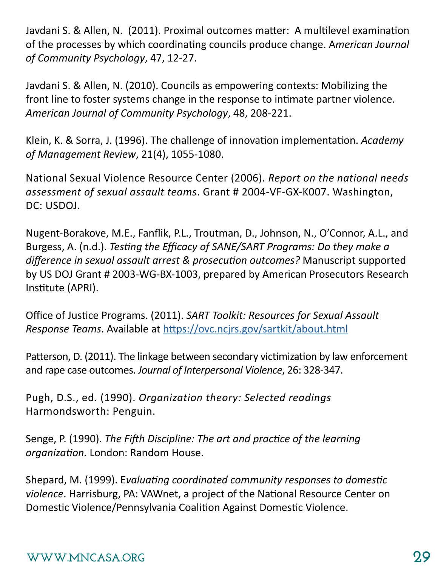Javdani S. & Allen, N. (2011). Proximal outcomes matter: A multilevel examination of the processes by which coordinating councils produce change. A*merican Journal of Community Psychology*, 47, 12-27.

Javdani S. & Allen, N. (2010). Councils as empowering contexts: Mobilizing the front line to foster systems change in the response to intimate partner violence. *American Journal of Community Psychology*, 48, 208-221.

Klein, K. & Sorra, J. (1996). The challenge of innovation implementation. *Academy of Management Review*, 21(4), 1055-1080.

National Sexual Violence Resource Center (2006). *Report on the national needs assessment of sexual assault teams*. Grant # 2004-VF-GX-K007. Washington, DC: USDOJ.

Nugent-Borakove, M.E., Fanflik, P.L., Troutman, D., Johnson, N., O'Connor, A.L., and Burgess, A. (n.d.). *Testing the Efficacy of SANE/SART Programs: Do they make a difference in sexual assault arrest & prosecution outcomes?* Manuscript supported by US DOJ Grant # 2003-WG-BX-1003, prepared by American Prosecutors Research Institute (APRI).

Office of Justice Programs. (2011). *SART Toolkit: Resources for Sexual Assault Response Teams*. Available at <https://ovc.ncjrs.gov/sartkit/about.html>

Patterson, D. (2011). The linkage between secondary victimization by law enforcement and rape case outcomes. *Journal of Interpersonal Violence*, 26: 328-347.

Pugh, D.S., ed. (1990). *Organization theory: Selected readings*  Harmondsworth: Penguin.

Senge, P. (1990). *The Fifth Discipline: The art and practice of the learning organization.* London: Random House.

Shepard, M. (1999). E*valuating coordinated community responses to domestic violence*. Harrisburg, PA: VAWnet, a project of the National Resource Center on Domestic Violence/Pennsylvania Coalition Against Domestic Violence.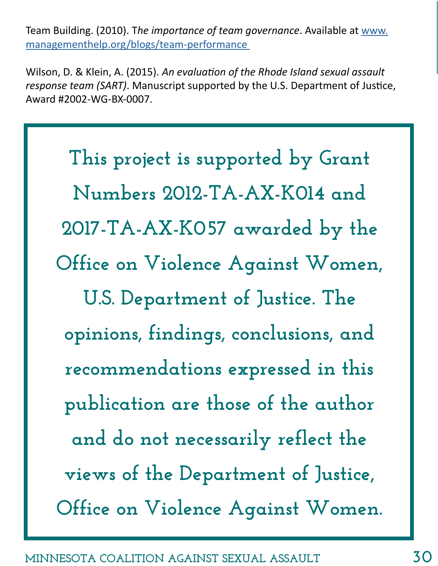Team Building. (2010). T*he importance of team governance*. Available at [www.](http://www.managementhelp.org/blogs/team-performance ) [managementhelp.org/blogs/team-performance](http://www.managementhelp.org/blogs/team-performance ) 

Wilson, D. & Klein, A. (2015). *An evaluation of the Rhode Island sexual assault response team (SART)*. Manuscript supported by the U.S. Department of Justice, Award #2002-WG-BX-0007.

**This project is supported by Grant Numbers 2012-TA-AX-K014 and 2017-TA-AX-K057 awarded by the Office on Violence Against Women, U.S. Department of Justice. The opinions, findings, conclusions, and recommendations expressed in this publication are those of the author and do not necessarily reflect the views of the Department of Justice, Office on Violence Against Women.**